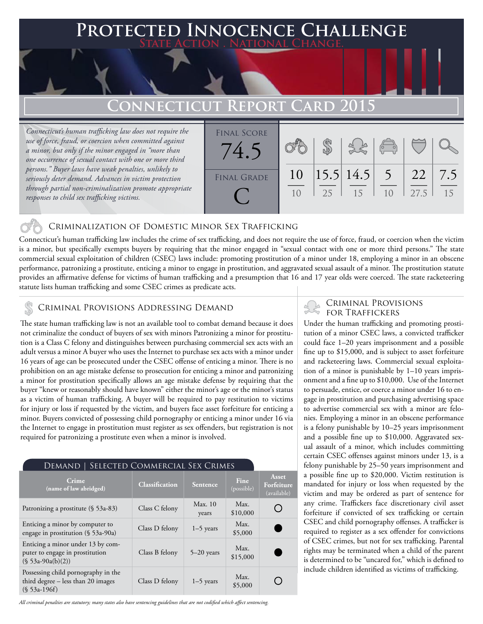# **PTED INNOCENCE CHALLENGE State Action . National Change. Connecticut Report Card 2015**

*Connecticut's human trafficking law does not require the use of force, fraud, or coercion when committed against a minor, but only if the minor engaged in "more than one occurrence of sexual contact with one or more third persons." Buyer laws have weak penalties, unlikely to seriously deter demand. Advances in victim protection through partial non-criminalization promote appropriate responses to child sex trafficking victims.*



### Criminalization of Domestic Minor Sex Trafficking

Connecticut's human trafficking law includes the crime of sex trafficking, and does not require the use of force, fraud, or coercion when the victim is a minor, but specifically exempts buyers by requiring that the minor engaged in "sexual contact with one or more third persons." The state commercial sexual exploitation of children (CSEC) laws include: promoting prostitution of a minor under 18, employing a minor in an obscene performance, patronizing a prostitute, enticing a minor to engage in prostitution, and aggravated sexual assault of a minor. The prostitution statute provides an affirmative defense for victims of human trafficking and a presumption that 16 and 17 year olds were coerced. The state racketeering statute lists human trafficking and some CSEC crimes as predicate acts.

### FOR TRAFFICKERS AND FOR TRAFFICKERS AND FOR TRAFFICKERS

The state human trafficking law is not an available tool to combat demand because it does not criminalize the conduct of buyers of sex with minors Patronizing a minor for prostitution is a Class C felony and distinguishes between purchasing commercial sex acts with an adult versus a minor A buyer who uses the Internet to purchase sex acts with a minor under 16 years of age can be prosecuted under the CSEC offense of enticing a minor. There is no prohibition on an age mistake defense to prosecution for enticing a minor and patronizing a minor for prostitution specifically allows an age mistake defense by requiring that the buyer "knew or reasonably should have known" either the minor's age or the minor's status as a victim of human trafficking. A buyer will be required to pay restitution to victims for injury or loss if requested by the victim, and buyers face asset forfeiture for enticing a minor. Buyers convicted of possessing child pornography or enticing a minor under 16 via the Internet to engage in prostitution must register as sex offenders, but registration is not required for patronizing a prostitute even when a minor is involved.

| SELECTED COMMERCIAL SEX CRIMES<br>Demand                                                      |                       |                 |                    |                                    |
|-----------------------------------------------------------------------------------------------|-----------------------|-----------------|--------------------|------------------------------------|
| Crime<br>(name of law abridged)                                                               | <b>Classification</b> | <b>Sentence</b> | Fine<br>(possible) | Asset<br>Forfeiture<br>(available) |
| Patronizing a prostitute $(§ 53a-83)$                                                         | Class C felony        | Max.10<br>years | Max.<br>\$10,000   |                                    |
| Enticing a minor by computer to<br>engage in prostitution $(\S 53a-90a)$                      | Class D felony        | $1-5$ years     | Max.<br>\$5,000    |                                    |
| Enticing a minor under 13 by com-<br>puter to engage in prostitution<br>$(S 53a-90a(b)(2))$   | Class B felony        | $5-20$ years    | Max.<br>\$15,000   |                                    |
| Possessing child pornography in the<br>third degree $-$ less than 20 images<br>$(S 53a-196f)$ | Class D felony        | $1-5$ years     | Max.<br>\$5,000    |                                    |

*All criminal penalties are statutory; many states also have sentencing guidelines that are not codified which affect sentencing.* 

## Criminal Provisions

Under the human trafficking and promoting prostitution of a minor CSEC laws, a convicted trafficker could face 1–20 years imprisonment and a possible fine up to \$15,000, and is subject to asset forfeiture and racketeering laws. Commercial sexual exploitation of a minor is punishable by 1–10 years imprisonment and a fine up to \$10,000. Use of the Internet to persuade, entice, or coerce a minor under 16 to engage in prostitution and purchasing advertising space to advertise commercial sex with a minor are felonies. Employing a minor in an obscene performance is a felony punishable by 10–25 years imprisonment and a possible fine up to \$10,000. Aggravated sexual assault of a minor, which includes committing certain CSEC offenses against minors under 13, is a felony punishable by 25–50 years imprisonment and a possible fine up to \$20,000. Victim restitution is mandated for injury or loss when requested by the victim and may be ordered as part of sentence for any crime. Traffickers face discretionary civil asset forfeiture if convicted of sex trafficking or certain CSEC and child pornography offenses. A trafficker is required to register as a sex offender for convictions of CSEC crimes, but not for sex trafficking. Parental rights may be terminated when a child of the parent is determined to be "uncared for," which is defined to include children identified as victims of trafficking.